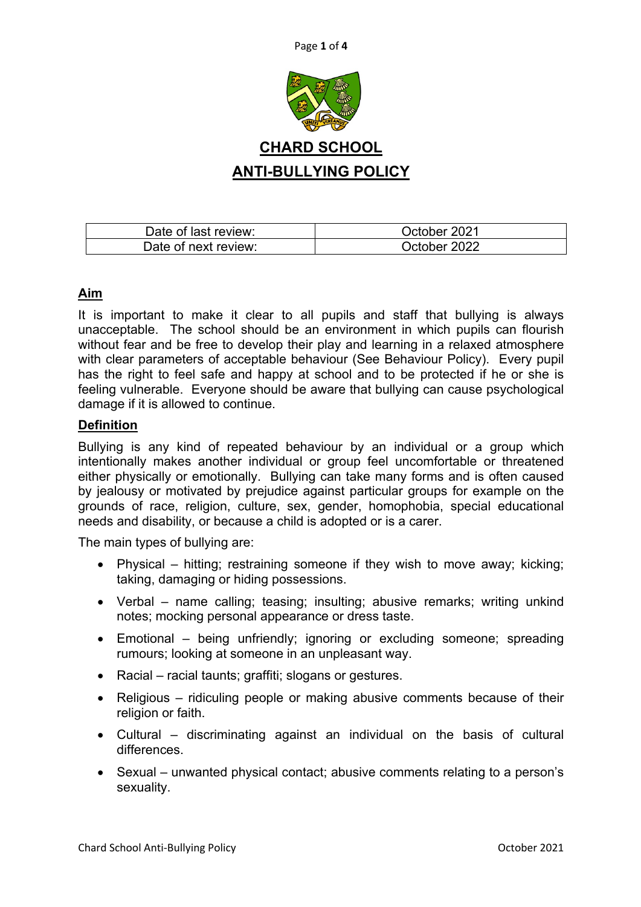



| Date of last review: | October 2021 |
|----------------------|--------------|
| Date of next review: | October 2022 |

# **Aim**

It is important to make it clear to all pupils and staff that bullying is always unacceptable. The school should be an environment in which pupils can flourish without fear and be free to develop their play and learning in a relaxed atmosphere with clear parameters of acceptable behaviour (See Behaviour Policy). Every pupil has the right to feel safe and happy at school and to be protected if he or she is feeling vulnerable. Everyone should be aware that bullying can cause psychological damage if it is allowed to continue.

## **Definition**

Bullying is any kind of repeated behaviour by an individual or a group which intentionally makes another individual or group feel uncomfortable or threatened either physically or emotionally. Bullying can take many forms and is often caused by jealousy or motivated by prejudice against particular groups for example on the grounds of race, religion, culture, sex, gender, homophobia, special educational needs and disability, or because a child is adopted or is a carer.

The main types of bullying are:

- Physical hitting; restraining someone if they wish to move away; kicking; taking, damaging or hiding possessions.
- Verbal name calling; teasing; insulting; abusive remarks; writing unkind notes; mocking personal appearance or dress taste.
- Emotional being unfriendly; ignoring or excluding someone; spreading rumours; looking at someone in an unpleasant way.
- Racial racial taunts; graffiti; slogans or gestures.
- Religious ridiculing people or making abusive comments because of their religion or faith.
- Cultural discriminating against an individual on the basis of cultural differences.
- Sexual unwanted physical contact; abusive comments relating to a person's sexuality.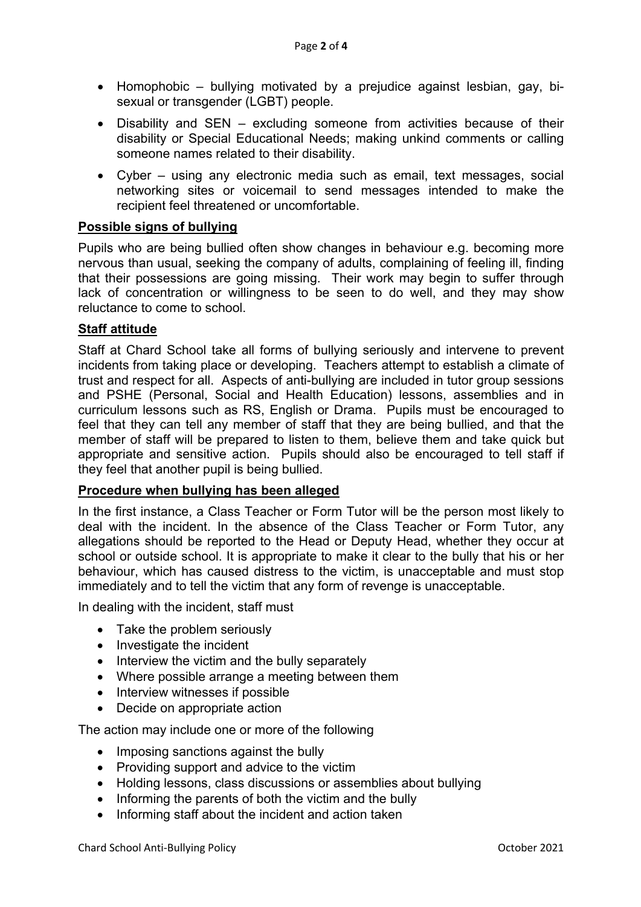- Homophobic bullying motivated by a prejudice against lesbian, gay, bisexual or transgender (LGBT) people.
- Disability and SEN excluding someone from activities because of their disability or Special Educational Needs; making unkind comments or calling someone names related to their disability.
- Cyber using any electronic media such as email, text messages, social networking sites or voicemail to send messages intended to make the recipient feel threatened or uncomfortable.

## **Possible signs of bullying**

Pupils who are being bullied often show changes in behaviour e.g. becoming more nervous than usual, seeking the company of adults, complaining of feeling ill, finding that their possessions are going missing. Their work may begin to suffer through lack of concentration or willingness to be seen to do well, and they may show reluctance to come to school.

### **Staff attitude**

Staff at Chard School take all forms of bullying seriously and intervene to prevent incidents from taking place or developing. Teachers attempt to establish a climate of trust and respect for all. Aspects of anti-bullying are included in tutor group sessions and PSHE (Personal, Social and Health Education) lessons, assemblies and in curriculum lessons such as RS, English or Drama. Pupils must be encouraged to feel that they can tell any member of staff that they are being bullied, and that the member of staff will be prepared to listen to them, believe them and take quick but appropriate and sensitive action. Pupils should also be encouraged to tell staff if they feel that another pupil is being bullied.

#### **Procedure when bullying has been alleged**

In the first instance, a Class Teacher or Form Tutor will be the person most likely to deal with the incident. In the absence of the Class Teacher or Form Tutor, any allegations should be reported to the Head or Deputy Head, whether they occur at school or outside school. It is appropriate to make it clear to the bully that his or her behaviour, which has caused distress to the victim, is unacceptable and must stop immediately and to tell the victim that any form of revenge is unacceptable.

In dealing with the incident, staff must

- Take the problem seriously
- Investigate the incident
- Interview the victim and the bully separately
- Where possible arrange a meeting between them
- Interview witnesses if possible
- Decide on appropriate action

The action may include one or more of the following

- Imposing sanctions against the bully
- Providing support and advice to the victim
- Holding lessons, class discussions or assemblies about bullying
- Informing the parents of both the victim and the bully
- Informing staff about the incident and action taken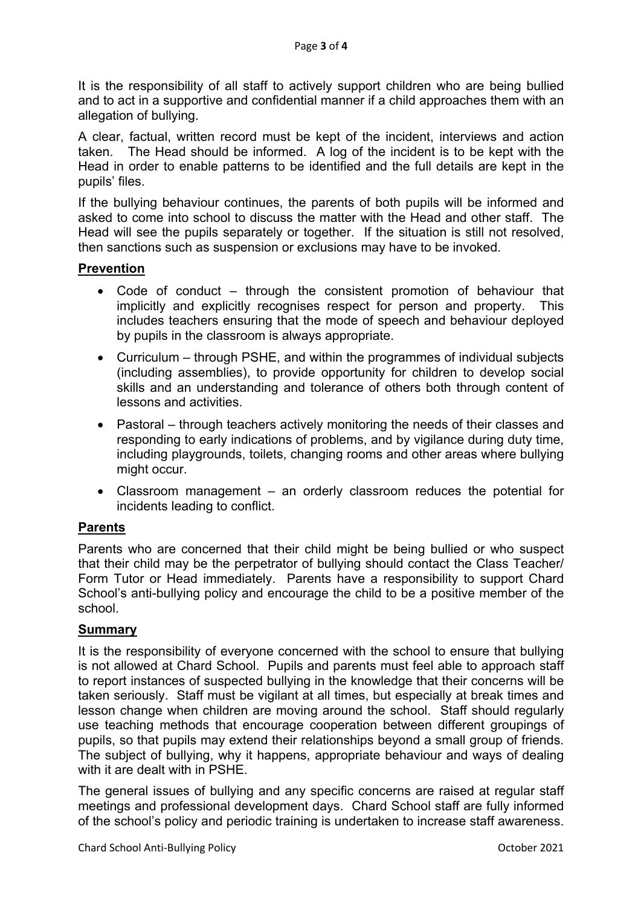It is the responsibility of all staff to actively support children who are being bullied and to act in a supportive and confidential manner if a child approaches them with an allegation of bullying.

A clear, factual, written record must be kept of the incident, interviews and action taken. The Head should be informed. A log of the incident is to be kept with the Head in order to enable patterns to be identified and the full details are kept in the pupils' files.

If the bullying behaviour continues, the parents of both pupils will be informed and asked to come into school to discuss the matter with the Head and other staff. The Head will see the pupils separately or together. If the situation is still not resolved, then sanctions such as suspension or exclusions may have to be invoked.

### **Prevention**

- Code of conduct through the consistent promotion of behaviour that implicitly and explicitly recognises respect for person and property. This includes teachers ensuring that the mode of speech and behaviour deployed by pupils in the classroom is always appropriate.
- Curriculum through PSHE, and within the programmes of individual subjects (including assemblies), to provide opportunity for children to develop social skills and an understanding and tolerance of others both through content of lessons and activities.
- Pastoral through teachers actively monitoring the needs of their classes and responding to early indications of problems, and by vigilance during duty time, including playgrounds, toilets, changing rooms and other areas where bullying might occur.
- Classroom management an orderly classroom reduces the potential for incidents leading to conflict.

## **Parents**

Parents who are concerned that their child might be being bullied or who suspect that their child may be the perpetrator of bullying should contact the Class Teacher/ Form Tutor or Head immediately. Parents have a responsibility to support Chard School's anti-bullying policy and encourage the child to be a positive member of the school.

## **Summary**

It is the responsibility of everyone concerned with the school to ensure that bullying is not allowed at Chard School. Pupils and parents must feel able to approach staff to report instances of suspected bullying in the knowledge that their concerns will be taken seriously. Staff must be vigilant at all times, but especially at break times and lesson change when children are moving around the school. Staff should regularly use teaching methods that encourage cooperation between different groupings of pupils, so that pupils may extend their relationships beyond a small group of friends. The subject of bullying, why it happens, appropriate behaviour and ways of dealing with it are dealt with in PSHE.

The general issues of bullying and any specific concerns are raised at regular staff meetings and professional development days. Chard School staff are fully informed of the school's policy and periodic training is undertaken to increase staff awareness.